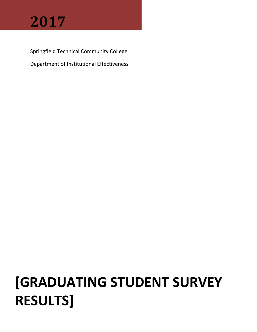# **2017**

Springfield Technical Community College

Department of Institutional Effectiveness

# **[GRADUATING STUDENT SURVEY RESULTS]**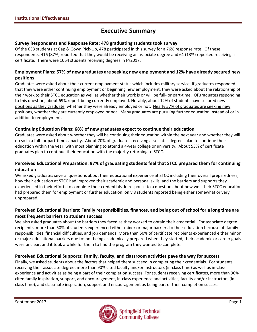# **Executive Summary**

#### **Survey Respondents and Response Rate: 478 graduating students took survey**

Of the 633 students at Cap & Gown Pick-Up, 478 participated in this survey for a 76% response rate. Of these respondents, 416 (87%) reported that they would be receiving an associate degree and 61 (13%) reported receiving a certificate. There were 1064 students receiving degrees in FY2017.

#### **Employment Plans: 57% of new graduates are seeking new employment and 12% have already secured new positions**

Graduates were asked about their current employment status which includes military service. If graduates responded that they were either continuing employment or beginning new employment, they were asked about the relationship of their work to their STCC education as well as whether their work is or will be full- or part-time. Of graduates responding to this question, about 69% report being currently employed. Notably, about 12% of students have secured new positions as they graduate, whether they were already employed or not. Nearly 57% of graduates are seeking new positions, whether they are currently employed or not. Many graduates are pursuing further education instead of or in addition to employment.

#### **Continuing Education Plans: 68% of new graduates expect to continue their education**

Graduates were asked about whether they will be continuing their education within the next year and whether they will do so in a full- or part-time capacity. About 70% of graduates receiving associates degrees plan to continue their education within the year, with most planning to attend a 4-year college or university. About 53% of certificate graduates plan to continue their education with the majority returning to STCC.

## **Perceived Educational Preparation: 97% of graduating students feel that STCC prepared them for continuing education**

We asked graduates several questions about their educational experience at STCC including their overall preparedness, how their education at STCC had improved their academic and personal skills, and the barriers and supports they experienced in their efforts to complete their credentials. In response to a question about how well their STCC education had prepared them for employment or further education, only 8 students reported being either somewhat or very unprepared.

## **Perceived Educational Barriers: Family responsibilities, finances, and being out of school for a long time are most frequent barriers to student success**

We also asked graduates about the barriers they faced as they worked to obtain their credential. For associate degree recipients, more than 50% of students experienced either minor or major barriers to their education because of: family responsibilities, financial difficulties, and job demands. More than 50% of certificate recipients experienced either minor or major educational barriers due to: not being academically prepared when they started, their academic or career goals were unclear, and it took a while for them to find the program they wanted to complete.

#### **Perceived Educational Supports: Family, faculty, and classroom activities pave the way for success**

Finally, we asked students about the factors that helped them succeed in completing their credentials. For students receiving their associate degree, more than 90% cited faculty and/or instructors (in-class time) as well as in-class experience and activities as being a part of their completion success. For students receiving certificates, more than 90% cited family inspiration, support, and encouragement, in-class experience and activities, faculty and/or instructors (inclass time), and classmate inspiration, support and encouragement as being part of their completion success.

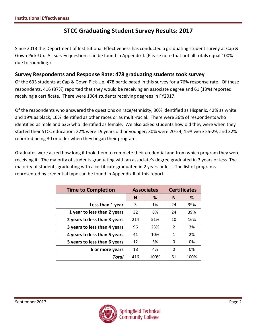## **STCC Graduating Student Survey Results: 2017**

Since 2013 the Department of Institutional Effectiveness has conducted a graduating student survey at Cap & Gown Pick-Up. All survey questions can be found in Appendix I. (Please note that not all totals equal 100% due to rounding.)

## **Survey Respondents and Response Rate: 478 graduating students took survey**

Of the 633 students at Cap & Gown Pick-Up, 478 participated in this survey for a 76% response rate. Of these respondents, 416 (87%) reported that they would be receiving an associate degree and 61 (13%) reported receiving a certificate. There were 1064 students receiving degrees in FY2017.

Of the respondents who answered the questions on race/ethnicity, 30% identified as Hispanic, 42% as white and 19% as black; 10% identified as other races or as multi-racial. There were 36% of respondents who identified as male and 63% who identified as female. We also asked students how old they were when they started their STCC education: 22% were 19 years old or younger; 30% were 20-24; 15% were 25-29, and 32% reported being 30 or older when they began their program.

Graduates were asked how long it took them to complete their credential and from which program they were receiving it. The majority of students graduating with an associate's degree graduated in 3 years or less. The majority of students graduating with a certificate graduated in 2 years or less. The list of programs represented by credential type can be found in Appendix II of this report.

| <b>Time to Completion</b>    |        | <b>Associates</b> | <b>Certificates</b> |      |  |
|------------------------------|--------|-------------------|---------------------|------|--|
|                              | %<br>N |                   | N                   | %    |  |
| Less than 1 year             | 3      | 1%                | 24                  | 39%  |  |
| 1 year to less than 2 years  | 32     | 8%                | 24                  | 39%  |  |
| 2 years to less than 3 years | 214    | 51%               | 10                  | 16%  |  |
| 3 years to less than 4 years | 96     | 23%               | 2                   | 3%   |  |
| 4 years to less than 5 years | 41     | 10%               | 1                   | 2%   |  |
| 5 years to less than 6 years | 12     | 3%                | 0                   | 0%   |  |
| 6 or more years              | 18     | 4%                | 0                   | 0%   |  |
| Total                        | 416    | 100%              | 61                  | 100% |  |

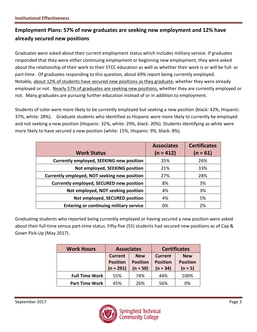## **Employment Plans: 57% of new graduates are seeking new employment and 12% have already secured new positions**

Graduates were asked about their current employment status which includes military service. If graduates responded that they were either continuing employment or beginning new employment, they were asked about the relationship of their work to their STCC education as well as whether their work is or will be full- or part-time. Of graduates responding to this question, about 69% report being currently employed. Notably, about 12% of students have secured new positions as they graduate, whether they were already employed or not. Nearly 57% of graduates are seeking new positions, whether they are currently employed or not. Many graduates are pursuing further education instead of or in addition to employment.

Students of color were more likely to be currently employed but seeking a new position (black: 42%, Hispanic: 37%, white: 28%). Graduate students who identified as Hispanic were more likely to currently be employed and not seeking a new position (Hispanic: 32%, white: 29%, black: 20%). Students identifying as white were more likely to have secured a new position (white: 15%, Hispanic: 9%, black: 8%).

|                                                 | <b>Associates</b> | <b>Certificates</b> |
|-------------------------------------------------|-------------------|---------------------|
| <b>Work Status</b>                              | $(n = 412)$       | $(n = 61)$          |
| <b>Currently employed, SEEKING new position</b> | 35%               | 26%                 |
| Not employed, SEEKING position                  | 21%               | 33%                 |
| Currently employed, NOT seeking new position    | 27%               | 28%                 |
| Currently employed, SECURED new position        | 8%                | 3%                  |
| Not employed, NOT seeking position              | 4%                | 3%                  |
| Not employed, SECURED position                  | 4%                | 5%                  |
| <b>Entering or continuing military service</b>  | 0%                | 2%                  |

Graduating students who reported being currently employed or having secured a new position were asked about their full-time versus part-time status. Fifty-five (55) students had secured new positions as of Cap & Gown Pick-Up (May 2017).

| <b>Work Hours</b>     | <b>Associates</b>                                |                                             |                                                 | <b>Certificates</b>                        |
|-----------------------|--------------------------------------------------|---------------------------------------------|-------------------------------------------------|--------------------------------------------|
|                       | <b>Current</b><br><b>Position</b><br>$(n = 291)$ | <b>New</b><br><b>Position</b><br>$(n = 50)$ | <b>Current</b><br><b>Position</b><br>$(n = 34)$ | <b>New</b><br><b>Position</b><br>$(n = 5)$ |
| <b>Full Time Work</b> | 55%                                              | 74%                                         | 44%                                             | 100%                                       |
| <b>Part Time Work</b> | 45%                                              | 26%                                         | 56%                                             | 0%                                         |

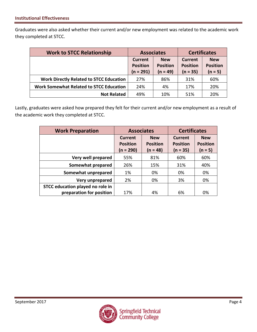Graduates were also asked whether their current and/or new employment was related to the academic work they completed at STCC.

| <b>Work to STCC Relationship</b>               | <b>Associates</b>                                           |            | <b>Certificates</b>        |                               |  |
|------------------------------------------------|-------------------------------------------------------------|------------|----------------------------|-------------------------------|--|
|                                                | <b>New</b><br>Current<br><b>Position</b><br><b>Position</b> |            | Current<br><b>Position</b> | <b>New</b><br><b>Position</b> |  |
|                                                | $(n = 291)$                                                 | $(n = 49)$ | $(n = 35)$                 | $(n = 5)$                     |  |
| <b>Work Directly Related to STCC Education</b> | 27%                                                         | 86%        | 31%                        | 60%                           |  |
| <b>Work Somewhat Related to STCC Education</b> | 24%                                                         | 4%         | 17%                        | 20%                           |  |
| <b>Not Related</b>                             | 49%                                                         | 10%        | 51%                        | 20%                           |  |

Lastly, graduates were asked how prepared they felt for their current and/or new employment as a result of the academic work they completed at STCC.

| <b>Work Preparation</b>          | <b>Associates</b>                              |                                             | <b>Certificates</b>                             |                                            |  |
|----------------------------------|------------------------------------------------|---------------------------------------------|-------------------------------------------------|--------------------------------------------|--|
|                                  | <b>Current</b><br><b>Position</b><br>(n = 290) | <b>New</b><br><b>Position</b><br>$(n = 48)$ | <b>Current</b><br><b>Position</b><br>$(n = 35)$ | <b>New</b><br><b>Position</b><br>$(n = 5)$ |  |
| Very well prepared               | 55%                                            | 81%                                         | 60%                                             | 60%                                        |  |
| Somewhat prepared                | 26%                                            | 15%                                         | 31%                                             | 40%                                        |  |
| Somewhat unprepared              | 1%                                             | 0%                                          | 0%                                              | 0%                                         |  |
| Very unprepared                  | 2%                                             | 0%                                          | 3%                                              | 0%                                         |  |
| STCC education played no role in |                                                |                                             |                                                 |                                            |  |
| preparation for position         | 17%                                            | 4%                                          | 6%                                              | 0%                                         |  |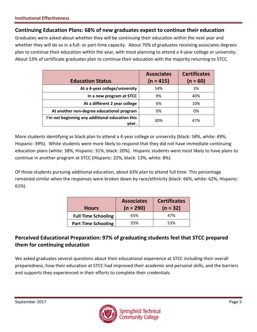## **Continuing Education Plans: 68% of new graduates expect to continue their education**

Graduates were asked about whether they will be continuing their education within the next year and whether they will do so in a full- or part-time capacity. About 70% of graduates receiving associates degrees plan to continue their education within the year, with most planning to attend a 4-year college or university. About 53% of certificate graduates plan to continue their education with the majority returning to STCC.

| <b>Education Status</b>                                  | <b>Associates</b><br>$(n = 415)$ | <b>Certificates</b><br>$(n = 60)$ |
|----------------------------------------------------------|----------------------------------|-----------------------------------|
| At a 4-year college/university                           | 54%                              | 3%                                |
| In a new program at STCC                                 | 9%                               | 40%                               |
| At a different 2 year college                            | 6%                               | 10%                               |
| At another non-degree educational program                | 0%                               | 0%                                |
| I'm not beginning any additional education this<br>vear. | 30%                              | 47%                               |

More students identifying as black plan to attend a 4-year college or university (black: 58%, white: 49%, Hispanic: 39%). White students were more likely to respond that they did not have immediate continuing education plans (white: 38%, Hispanic: 31%, black: 20%). Hispanic students were most likely to have plans to continue in another program at STCC (Hispanic: 22%, black: 13%, white: 8%).

Of those students pursuing additional education, about 63% plan to attend full time. This percentage remained similar when the responses were broken down by race/ethnicity (black: 66%, white: 62%, Hispanic: 61%).

| <b>Hours</b>               | <b>Associates</b><br>$(n = 290)$ | <b>Certificates</b><br>$(n = 32)$ |
|----------------------------|----------------------------------|-----------------------------------|
| <b>Full Time Schooling</b> | 65%                              | 47%                               |
| <b>Part Time Schooling</b> | 35%                              | 53%                               |

## **Perceived Educational Preparation: 97% of graduating students feel that STCC prepared them for continuing education**

We asked graduates several questions about their educational experience at STCC including their overall preparedness, how their education at STCC had improved their academic and personal skills, and the barriers and supports they experienced in their efforts to complete their credentials.

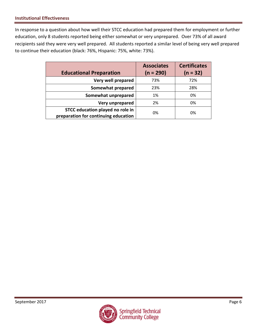In response to a question about how well their STCC education had prepared them for employment or further education, only 8 students reported being either somewhat or very unprepared. Over 73% of all award recipients said they were very well prepared. All students reported a similar level of being very well prepared to continue their education (black: 76%, Hispanic: 75%, white: 73%).

| <b>Educational Preparation</b>       | <b>Associates</b><br>$(n = 290)$ | <b>Certificates</b><br>$(n = 32)$ |
|--------------------------------------|----------------------------------|-----------------------------------|
| Very well prepared                   | 73%                              | 72%                               |
| Somewhat prepared                    | 23%                              | 28%                               |
| Somewhat unprepared                  | 1%                               | 0%                                |
| Very unprepared                      | 2%                               | 0%                                |
| STCC education played no role in     | 0%                               | 0%                                |
| preparation for continuing education |                                  |                                   |

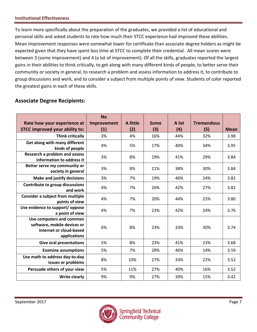To learn more specifically about the preparation of the graduates, we provided a list of educational and personal skills and asked students to rate how much their STCC experience had improved these abilities. Mean improvement responses were somewhat lower for certificate than associate degree holders as might be expected given that they have spent less time at STCC to complete their credential. All mean scores were between 3 (some improvement) and 4 (a lot of improvement). Of all the skills, graduates reported the largest gains in their abilities to think critically, to get along with many different kinds of people, to better serve their community or society in general, to research a problem and assess information to address it, to contribute to group discussions and work, and to consider a subject from multiple points of view. Students of color reported the greatest gains in each of these skills.

## **Associate Degree Recipients:**

| Rate how your experience at                                                                        | <b>No</b><br>Improvement | A little | <b>Some</b> | A lot | <b>Tremendous</b> |             |
|----------------------------------------------------------------------------------------------------|--------------------------|----------|-------------|-------|-------------------|-------------|
| <b>STCC improved your ability to:</b>                                                              | (1)                      | (2)      | (3)         | (4)   | (5)               | <b>Mean</b> |
| <b>Think critically</b>                                                                            | 3%                       | 4%       | 16%         | 44%   | 32%               | 3.98        |
| Get along with many different<br>kinds of people                                                   | 4%                       | 5%       | 17%         | 40%   | 34%               | 3.95        |
| <b>Research a problem and assess</b><br>information to address it                                  | 3%                       | 8%       | 19%         | 41%   | 29%               | 3.84        |
| Better serve my community or<br>society in general                                                 | 3%                       | 8%       | 21%         | 38%   | 30%               | 3.84        |
| <b>Make and justify decisions</b>                                                                  | 3%                       | 7%       | 19%         | 46%   | 24%               | 3.82        |
| Contribute to group discussions<br>and work                                                        | 4%                       | 7%       | 20%         | 42%   | 27%               | 3.82        |
| <b>Consider a subject from multiple</b><br>points of view                                          | 4%                       | 7%       | 20%         | 44%   | 25%               | 3.80        |
| Use evidence to support/ oppose<br>a point of view                                                 | 4%                       | 7%       | 23%         | 42%   | 24%               | 3.76        |
| Use computers and common<br>software, mobile devices or<br>internet or cloud-based<br>applications | 6%                       | 8%       | 23%         | 33%   | 30%               | 3.74        |
| <b>Give oral presentations</b>                                                                     | 5%                       | 8%       | 23%         | 41%   | 23%               | 3.68        |
| <b>Examine assumptions</b>                                                                         | 5%                       | 7%       | 28%         | 46%   | 14%               | 3.59        |
| Use math to address day-to-day<br>issues or problems                                               | 8%                       | 10%      | 27%         | 33%   | 22%               | 3.52        |
| Persuade others of your view                                                                       | 5%                       | 11%      | 27%         | 40%   | 16%               | 3.52        |
| <b>Write clearly</b>                                                                               | 9%                       | 9%       | 27%         | 39%   | 15%               | 3.42        |

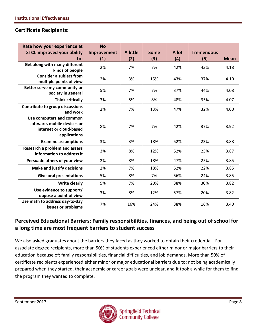## **Certificate Recipients:**

| Rate how your experience at<br><b>STCC improved your ability</b>                                   | <b>No</b><br>Improvement | A little | Some | A lot | <b>Tremendous</b> |             |
|----------------------------------------------------------------------------------------------------|--------------------------|----------|------|-------|-------------------|-------------|
| to:                                                                                                | (1)                      | (2)      | (3)  | (4)   | (5)               | <b>Mean</b> |
| Get along with many different<br>kinds of people                                                   | 2%                       | 7%       | 7%   | 42%   | 43%               | 4.18        |
| <b>Consider a subject from</b><br>multiple points of view                                          | 2%                       | 3%       | 15%  | 43%   | 37%               | 4.10        |
| Better serve my community or<br>society in general                                                 | 5%                       | 7%       | 7%   | 37%   | 44%               | 4.08        |
| <b>Think critically</b>                                                                            | 3%                       | 5%       | 8%   | 48%   | 35%               | 4.07        |
| Contribute to group discussions<br>and work                                                        | 2%                       | 7%       | 13%  | 47%   | 32%               | 4.00        |
| Use computers and common<br>software, mobile devices or<br>internet or cloud-based<br>applications | 8%                       | 7%       | 7%   | 42%   | 37%               | 3.92        |
| <b>Examine assumptions</b>                                                                         | 3%                       | 3%       | 18%  | 52%   | 23%               | 3.88        |
| Research a problem and assess<br>information to address it                                         | 3%                       | 8%       | 12%  | 52%   | 25%               | 3.87        |
| Persuade others of your view                                                                       | 2%                       | 8%       | 18%  | 47%   | 25%               | 3.85        |
| <b>Make and justify decisions</b>                                                                  | 2%                       | 7%       | 18%  | 52%   | 22%               | 3.85        |
| <b>Give oral presentations</b>                                                                     | 5%                       | 8%       | 7%   | 56%   | 24%               | 3.85        |
| <b>Write clearly</b>                                                                               | 5%                       | 7%       | 20%  | 38%   | 30%               | 3.82        |
| Use evidence to support/<br>oppose a point of view                                                 | 3%                       | 8%       | 12%  | 57%   | 20%               | 3.82        |
| Use math to address day-to-day<br>issues or problems                                               | 7%                       | 16%      | 24%  | 38%   | 16%               | 3.40        |

## **Perceived Educational Barriers: Family responsibilities, finances, and being out of school for a long time are most frequent barriers to student success**

We also asked graduates about the barriers they faced as they worked to obtain their credential. For associate degree recipients, more than 50% of students experienced either minor or major barriers to their education because of: family responsibilities, financial difficulties, and job demands. More than 50% of certificate recipients experienced either minor or major educational barriers due to: not being academically prepared when they started, their academic or career goals were unclear, and it took a while for them to find the program they wanted to complete.

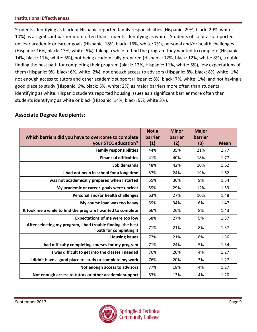Students identifying as black or Hispanic reported family responsibilities (Hispanic: 29%, black: 29%, white: 10%) as a significant barrier more often than students identifying as white. Students of color also reported unclear academic or career goals (Hispanic: 18%, black: 16%, white: 7%), personal and/or health challenges (Hispanic: 16%, black: 13%, white: 5%), taking a while to find the program they wanted to complete (Hispanic: 14%, black: 11%, white: 5%), not being academically prepared (Hispanic: 12%, black: 12%, white: 8%), trouble finding the best path for completing their program (black: 12%, Hispanic: 11%, white: 5%), low expectations of them (Hispanic: 9%, black: 6%, white: 2%), not enough access to advisors (Hispanic: 8%, black: 8%, white: 1%), not enough access to tutors and other academic support (Hispanic: 8%, black: 7%, white: 1%), and not having a good place to study (Hispanic: 6%, black: 5%, white: 2%) as major barriers more often than students identifying as white. Hispanic students reported housing issues as a significant barrier more often than students identifying as white or black (Hispanic: 14%, black: 9%, white 3%).

|                                                                                      | Not a   | <b>Minor</b> | <b>Major</b> |             |
|--------------------------------------------------------------------------------------|---------|--------------|--------------|-------------|
| Which barriers did you have to overcome to complete                                  | barrier | barrier      | barrier      |             |
| your STCC education?                                                                 | (1)     | (2)          | (3)          | <b>Mean</b> |
| <b>Family responsibilities</b>                                                       | 44%     | 35%          | 21%          | 1.77        |
| <b>Financial difficulties</b>                                                        | 41%     | 40%          | 18%          | 1.77        |
| <b>Job demands</b>                                                                   | 48%     | 42%          | 10%          | 1.62        |
| I had not been in school for a long time                                             | 57%     | 24%          | 19%          | 1.62        |
| I was not academically prepared when I started                                       | 55%     | 36%          | 9%           | 1.54        |
| My academic or career goals were unclear                                             | 59%     | 29%          | 12%          | 1.53        |
| Personal and/or health challenges                                                    | 63%     | 27%          | 10%          | 1.48        |
| My course load was too heavy                                                         | 59%     | 34%          | 6%           | 1.47        |
| It took me a while to find the program I wanted to complete                          | 66%     | 26%          | 8%           | 1.43        |
| <b>Expectations of me were too low</b>                                               | 68%     | 27%          | 5%           | 1.37        |
| After selecting my program, I had trouble finding the best<br>path for completing it | 71%     | 21%          | 8%           | 1.37        |
| <b>Housing issues</b>                                                                | 72%     | 21%          | 8%           | 1.36        |
| I had difficulty completing courses for my program                                   | 71%     | 24%          | 5%           | 1.34        |
| It was difficult to get into the classes I needed                                    | 76%     | 20%          | 4%           | 1.27        |
| I didn't have a good place to study or complete my work                              | 76%     | 20%          | 3%           | 1.27        |
| Not enough access to advisors                                                        | 77%     | 18%          | 4%           | 1.27        |
| Not enough access to tutors or other academic support                                | 83%     | 13%          | 4%           | 1.20        |

## **Associate Degree Recipients:**

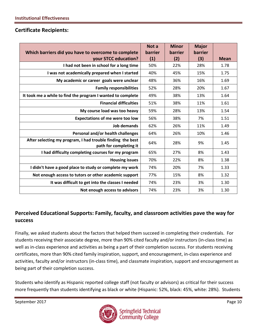## **Certificate Recipients:**

|                                                                                      | Not a   | <b>Minor</b> | <b>Major</b> |             |
|--------------------------------------------------------------------------------------|---------|--------------|--------------|-------------|
| Which barriers did you have to overcome to complete                                  | barrier | barrier      | barrier      |             |
| your STCC education?                                                                 | (1)     | (2)          | (3)          | <b>Mean</b> |
| I had not been in school for a long time                                             | 50%     | 22%          | 28%          | 1.78        |
| I was not academically prepared when I started                                       | 40%     | 45%          | 15%          | 1.75        |
| My academic or career goals were unclear                                             | 48%     | 36%          | 16%          | 1.69        |
| <b>Family responsibilities</b>                                                       | 52%     | 28%          | 20%          | 1.67        |
| It took me a while to find the program I wanted to complete                          | 49%     | 38%          | 13%          | 1.64        |
| <b>Financial difficulties</b>                                                        | 51%     | 38%          | 11%          | 1.61        |
| My course load was too heavy                                                         | 59%     | 28%          | 13%          | 1.54        |
| <b>Expectations of me were too low</b>                                               | 56%     | 38%          | 7%           | 1.51        |
| Job demands                                                                          | 62%     | 26%          | 11%          | 1.49        |
| Personal and/or health challenges                                                    | 64%     | 26%          | 10%          | 1.46        |
| After selecting my program, I had trouble finding the best<br>path for completing it | 64%     | 28%          | 9%           | 1.45        |
| I had difficulty completing courses for my program                                   | 65%     | 27%          | 8%           | 1.43        |
| <b>Housing issues</b>                                                                | 70%     | 22%          | 8%           | 1.38        |
| I didn't have a good place to study or complete my work                              | 74%     | 20%          | 7%           | 1.33        |
| Not enough access to tutors or other academic support                                | 77%     | 15%          | 8%           | 1.32        |
| It was difficult to get into the classes I needed                                    | 74%     | 23%          | 3%           | 1.30        |
| Not enough access to advisors                                                        | 74%     | 23%          | 3%           | 1.30        |

## **Perceived Educational Supports: Family, faculty, and classroom activities pave the way for success**

Finally, we asked students about the factors that helped them succeed in completing their credentials. For students receiving their associate degree, more than 90% cited faculty and/or instructors (in-class time) as well as in-class experience and activities as being a part of their completion success. For students receiving certificates, more than 90% cited family inspiration, support, and encouragement, in-class experience and activities, faculty and/or instructors (in-class time), and classmate inspiration, support and encouragement as being part of their completion success.

Students who identify as Hispanic reported college staff (not faculty or advisors) as critical for their success more frequently than students identifying as black or white (Hispanic: 52%, black: 45%, white: 28%). Students

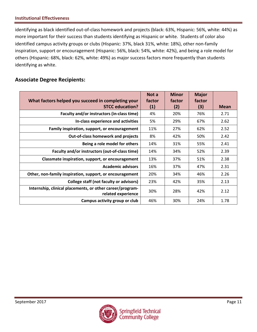identifying as black identified out-of-class homework and projects (black: 63%, Hispanic: 56%, white: 44%) as more important for their success than students identifying as Hispanic or white. Students of color also identified campus activity groups or clubs (Hispanic: 37%, black 31%, white: 18%), other non-family inspiration, support or encouragement (Hispanic: 56%, black: 54%, white: 42%), and being a role model for others (Hispanic: 68%, black: 62%, white: 49%) as major success factors more frequently than students identifying as white.

## **Associate Degree Recipients:**

| What factors helped you succeed in completing your                              | Not a<br>factor   | <b>Minor</b><br>factor | <b>Major</b><br>factor |             |
|---------------------------------------------------------------------------------|-------------------|------------------------|------------------------|-------------|
| <b>STCC education?</b>                                                          | $\left( 1\right)$ | (2)                    | (3)                    | <b>Mean</b> |
| Faculty and/or instructors (in-class time)                                      | 4%                | 20%                    | 76%                    | 2.71        |
| In-class experience and activities                                              | 5%                | 29%                    | 67%                    | 2.62        |
| Family inspiration, support, or encouragement                                   | 11%               | 27%                    | 62%                    | 2.52        |
| <b>Out-of-class homework and projects</b>                                       | 8%                | 42%                    | 50%                    | 2.42        |
| Being a role model for others                                                   | 14%               | 31%                    | 55%                    | 2.41        |
| Faculty and/or instructors (out-of-class time)                                  | 14%               | 34%                    | 52%                    | 2.39        |
| Classmate inspiration, support, or encouragement                                | 13%               | 37%                    | 51%                    | 2.38        |
| <b>Academic advisors</b>                                                        | 16%               | 37%                    | 47%                    | 2.31        |
| Other, non-family inspiration, support, or encouragement                        | 20%               | 34%                    | 46%                    | 2.26        |
| College staff (not faculty or advisors)                                         | 23%               | 42%                    | 35%                    | 2.13        |
| Internship, clinical placements, or other career/program-<br>related experience | 30%               | 28%                    | 42%                    | 2.12        |
| Campus activity group or club                                                   | 46%               | 30%                    | 24%                    | 1.78        |

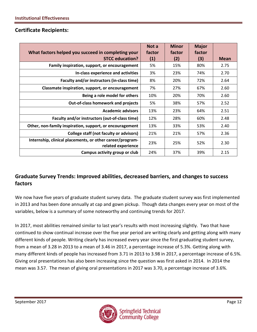## **Certificate Recipients:**

| What factors helped you succeed in completing your<br><b>STCC education?</b>    | Not a<br>factor<br>(1) | <b>Minor</b><br>factor<br>(2) | <b>Major</b><br>factor<br>(3) | <b>Mean</b> |
|---------------------------------------------------------------------------------|------------------------|-------------------------------|-------------------------------|-------------|
| Family inspiration, support, or encouragement                                   | 5%                     | 15%                           | 80%                           | 2.75        |
| In-class experience and activities                                              | 3%                     | 23%                           | 74%                           | 2.70        |
| Faculty and/or instructors (in-class time)                                      | 8%                     | 20%                           | 72%                           | 2.64        |
| Classmate inspiration, support, or encouragement                                | 7%                     | 27%                           | 67%                           | 2.60        |
| Being a role model for others                                                   | 10%                    | 20%                           | 70%                           | 2.60        |
| <b>Out-of-class homework and projects</b>                                       | 5%                     | 38%                           | 57%                           | 2.52        |
| <b>Academic advisors</b>                                                        | 13%                    | 23%                           | 64%                           | 2.51        |
| Faculty and/or instructors (out-of-class time)                                  | 12%                    | 28%                           | 60%                           | 2.48        |
| Other, non-family inspiration, support, or encouragement                        | 13%                    | 33%                           | 53%                           | 2.40        |
| College staff (not faculty or advisors)                                         | 21%                    | 21%                           | 57%                           | 2.36        |
| Internship, clinical placements, or other career/program-<br>related experience | 23%                    | 25%                           | 52%                           | 2.30        |
| Campus activity group or club                                                   | 24%                    | 37%                           | 39%                           | 2.15        |

## **Graduate Survey Trends: Improved abilities, decreased barriers, and changes to success factors**

We now have five years of graduate student survey data. The graduate student survey was first implemented in 2013 and has been done annually at cap and gown pickup. Though data changes every year on most of the variables, below is a summary of some noteworthy and continuing trends for 2017.

In 2017, most abilities remained similar to last year's results with most increasing slightly. Two that have continued to show continual increase over the five year period are writing clearly and getting along with many different kinds of people. Writing clearly has increased every year since the first graduating student survey, from a mean of 3.28 in 2013 to a mean of 3.46 in 2017, a percentage increase of 5.3%. Getting along with many different kinds of people has increased from 3.71 in 2013 to 3.98 in 2017, a percentage increase of 6.5%. Giving oral presentations has also been increasing since the question was first asked in 2014. In 2014 the mean was 3.57. The mean of giving oral presentations in 2017 was 3.70, a percentage increase of 3.6%.

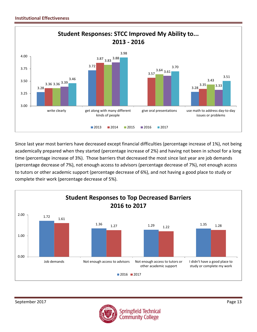

Since last year most barriers have decreased except financial difficulties (percentage increase of 1%), not being academically prepared when they started (percentage increase of 2%) and having not been in school for a long time (percentage increase of 3%). Those barriers that decreased the most since last year are job demands (percentage decrease of 7%), not enough access to advisors (percentage decrease of 7%), not enough access to tutors or other academic support (percentage decrease of 6%), and not having a good place to study or complete their work (percentage decrease of 5%).



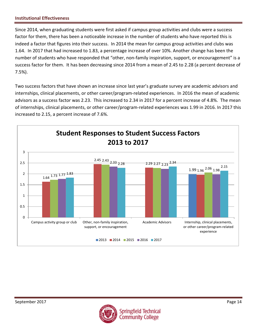Since 2014, when graduating students were first asked if campus group activities and clubs were a success factor for them, there has been a noticeable increase in the number of students who have reported this is indeed a factor that figures into their success. In 2014 the mean for campus group activities and clubs was 1.64. In 2017 that had increased to 1.83, a percentage increase of over 10%. Another change has been the number of students who have responded that "other, non-family inspiration, support, or encouragement" is a success factor for them. It has been decreasing since 2014 from a mean of 2.45 to 2.28 (a percent decrease of 7.5%).

Two success factors that have shown an increase since last year's graduate survey are academic advisors and internships, clinical placements, or other career/program-related experiences. In 2016 the mean of academic advisors as a success factor was 2.23. This increased to 2.34 in 2017 for a percent increase of 4.8%. The mean of internships, clinical placements, or other career/program-related experiences was 1.99 in 2016. In 2017 this increased to 2.15, a percent increase of 7.6%.



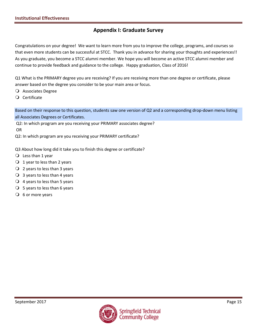## **Appendix I: Graduate Survey**

Congratulations on your degree! We want to learn more from you to improve the college, programs, and courses so that even more students can be successful at STCC. Thank you in advance for sharing your thoughts and experiences!! As you graduate, you become a STCC alumni member. We hope you will become an active STCC alumni member and continue to provide feedback and guidance to the college. Happy graduation, Class of 2016!

Q1 What is the PRIMARY degree you are receiving? If you are receiving more than one degree or certificate, please answer based on the degree you consider to be your main area or focus.

- Associates Degree
- Certificate

Based on their response to this question, students saw one version of Q2 and a corresponding drop-down menu listing all Associates Degrees or Certificates.

Q2: In which program are you receiving your PRIMARY associates degree?

OR

Q2: In which program are you receiving your PRIMARY certificate?

Q3 About how long did it take you to finish this degree or certificate?

- $\bigcirc$  Less than 1 year
- $\bigcirc$  1 year to less than 2 years
- 2 years to less than 3 years
- $\bigcirc$  3 years to less than 4 years
- $\overline{Q}$  4 years to less than 5 years
- $\bigcirc$  5 years to less than 6 years
- $\overline{O}$  6 or more years

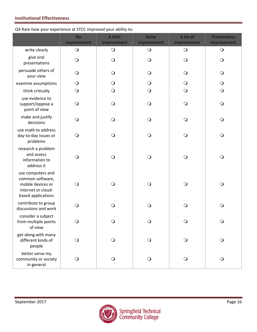#### Q4 Rate how your experience at STCC improved your ability to:

|                                                                                                        | <b>No</b><br>improvement | A little<br>improvement | Some<br>improvement | A lot of<br>improvement | <b>Tremendous</b><br>Improvement |
|--------------------------------------------------------------------------------------------------------|--------------------------|-------------------------|---------------------|-------------------------|----------------------------------|
| write clearly                                                                                          | $\bigcirc$               | $\bigcirc$              | $\bigcirc$          | $\bigcirc$              | $\bigcirc$                       |
| give oral<br>presentations                                                                             | $\bigcirc$               | $\bigcirc$              | $\bigcirc$          | $\bigcirc$              | $\bigcirc$                       |
| persuade others of<br>your view                                                                        | $\bigcirc$               | $\bigcirc$              | $\bigcirc$          | $\mathsf{O}$            | $\bigcirc$                       |
| examine assumptions                                                                                    | $\bigcirc$               | $\bigcirc$              | $\bigcirc$          | $\mathsf{O}$            | $\bigcirc$                       |
| think critically                                                                                       | $\bigcirc$               | $\bigcirc$              | $\bigcirc$          | $\bigcirc$              | $\bigcirc$                       |
| use evidence to<br>support/oppose a<br>point of view                                                   | $\bigcirc$               | $\bigcirc$              | $\bigcirc$          | $\bigcirc$              | $\bigcirc$                       |
| make and justify<br>decisions                                                                          | $\bigcirc$               | $\bigcirc$              | $\bigcirc$          | $\bigcirc$              | $\bigcirc$                       |
| use math to address<br>day-to-day issues or<br>problems                                                | $\bigcirc$               | $\bigcirc$              | $\bigcirc$          | $\bigcirc$              | $\bigcirc$                       |
| research a problem<br>and assess<br>information to<br>address it                                       | $\bigcirc$               | $\bigcirc$              | $\bigcirc$          | $\bigcirc$              | $\bigcirc$                       |
| use computers and<br>common software,<br>mobile devices or<br>internet or cloud-<br>based applications | $\bigcirc$               | $\bigcirc$              | $\bigcirc$          | $\bigcirc$              | $\bigcirc$                       |
| contribute to group<br>discussions and work                                                            | $\bigcirc$               | $\bigcirc$              | $\bigcirc$          | $\bigcirc$              | $\bigcirc$                       |
| consider a subject<br>from multiple points<br>of view                                                  | $\bigcirc$               | $\bigcirc$              | $\bigcirc$          | $\bigcirc$              | $\bigcirc$                       |
| get along with many<br>different kinds of<br>people                                                    | $\bigcirc$               | $\bigcirc$              | $\bigcirc$          | $\bigcirc$              | $\bigcirc$                       |
| better serve my<br>community or society<br>in general                                                  | $\bigcirc$               | $\bigcirc$              | $\bigcirc$          | $\bigcirc$              | $\bigcirc$                       |

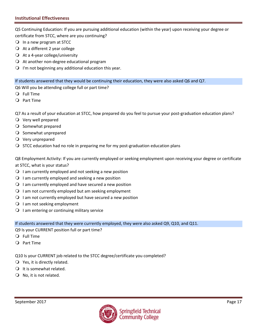Q5 Continuing Education: If you are pursuing additional education (within the year) upon receiving your degree or certificate from STCC, where are you continuing?

- $\bigcirc$  In a new program at STCC
- $\bigcirc$  At a different 2 year college
- $\bigcirc$  At a 4-year college/university
- $\Omega$  At another non-degree educational program
- $\Omega$  I'm not beginning any additional education this year.

If students answered that they would be continuing their education, they were also asked Q6 and Q7.

Q6 Will you be attending college full or part time?

- Full Time
- Part Time

Q7 As a result of your education at STCC, how prepared do you feel to pursue your post-graduation education plans?

- Very well prepared
- O Somewhat prepared
- $\bigcirc$  Somewhat unprepared
- $\overline{Q}$  Very unprepared
- $\bigcirc$  STCC education had no role in preparing me for my post-graduation education plans

Q8 Employment Activity: If you are currently employed or seeking employment upon receiving your degree or certificate at STCC, what is your status?

- $\Omega$  I am currently employed and not seeking a new position
- $\bigcirc$  I am currently employed and seeking a new position
- $\Omega$  I am currently employed and have secured a new position
- $\Omega$  I am not currently employed but am seeking employment
- $\Omega$  I am not currently employed but have secured a new position
- $\bigcirc$  I am not seeking employment
- $\bigcirc$  I am entering or continuing military service

If students answered that they were currently employed, they were also asked Q9, Q10, and Q11.

Q9 Is your CURRENT position full or part time?

- Full Time
- Part Time

Q10 Is your CURRENT job related to the STCC degree/certificate you completed?

- $Q$  Yes, it is directly related.
- $\bigcirc$  It is somewhat related.
- $\bigcirc$  No, it is not related.

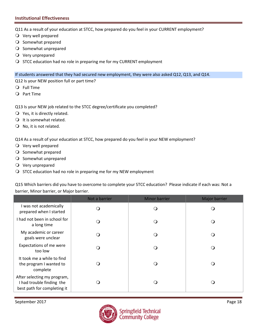Q11 As a result of your education at STCC, how prepared do you feel in your CURRENT employment?

- Very well prepared
- O Somewhat prepared
- O Somewhat unprepared
- Very unprepared
- O STCC education had no role in preparing me for my CURRENT employment

If students answered that they had secured new employment, they were also asked Q12, Q13, and Q14.

Q12 Is your NEW position full or part time?

- Full Time
- Part Time
- Q13 Is your NEW job related to the STCC degree/certificate you completed?
- $\bigcirc$  Yes, it is directly related.
- $\bigcirc$  It is somewhat related.
- $\bigcirc$  No, it is not related.

Q14 As a result of your education at STCC, how prepared do you feel in your NEW employment?

- Very well prepared
- O Somewhat prepared
- O Somewhat unprepared
- Very unprepared
- $\bigcirc$  STCC education had no role in preparing me for my NEW employment

Q15 Which barriers did you have to overcome to complete your STCC education? Please indicate if each was: Not a barrier, Minor barrier, or Major barrier.

|                                                                                         | Not a barrier | <b>Minor barrier</b> | Major barrier |
|-----------------------------------------------------------------------------------------|---------------|----------------------|---------------|
| I was not academically<br>prepared when I started                                       |               | ∩                    |               |
| I had not been in school for<br>a long time                                             |               | $\Omega$             |               |
| My academic or career<br>goals were unclear                                             |               | ( )                  |               |
| Expectations of me were<br>too low                                                      |               | ( )                  |               |
| It took me a while to find<br>the program I wanted to<br>complete                       |               | ( )                  |               |
| After selecting my program,<br>I had trouble finding the<br>best path for completing it |               | ( )                  | ∩             |

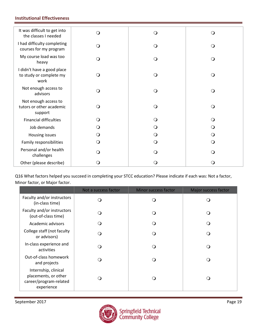| It was difficult to get into<br>the classes I needed          | O        | $\mathsf{O}$ | ∩        |
|---------------------------------------------------------------|----------|--------------|----------|
| I had difficulty completing<br>courses for my program         | $\circ$  | $\circ$      | $\Omega$ |
| My course load was too<br>heavy                               | O        | O            | ∩        |
| I didn't have a good place<br>to study or complete my<br>work | O        | $\Omega$     | $\Omega$ |
| Not enough access to<br>advisors                              | $\circ$  | O            | $\Omega$ |
| Not enough access to<br>tutors or other academic<br>support   | O        | O            | $\Omega$ |
| <b>Financial difficulties</b>                                 | $\Omega$ | O            |          |
| Job demands                                                   | (၂       | O            |          |
| Housing issues                                                | Ő        | Q            |          |
| Family responsibilities                                       | O        | $\Omega$     | Q        |
| Personal and/or health<br>challenges                          | ∩        | O            |          |
| Other (please describe)                                       | 0        | $\Omega$     |          |

Q16 What factors helped you succeed in completing your STCC education? Please indicate if each was: Not a factor, Minor factor, or Major factor.

|                                                                                      | Not a success factor | <b>Minor success factor</b> | Major success factor |
|--------------------------------------------------------------------------------------|----------------------|-----------------------------|----------------------|
| Faculty and/or instructors<br>(in-class time)                                        | ( )                  |                             | $\Omega$             |
| Faculty and/or instructors<br>(out-of-class time)                                    | ∩                    |                             | ∩                    |
| Academic advisors                                                                    |                      |                             | $\Omega$             |
| College staff (not faculty<br>or advisors)                                           |                      | ่า                          | $\left( \right)$     |
| In-class experience and<br>activities                                                |                      | ி                           | ∩                    |
| Out-of-class homework<br>and projects                                                |                      | 2                           | ∩                    |
| Internship, clinical<br>placements, or other<br>career/program-related<br>experience |                      |                             | $\Omega$             |

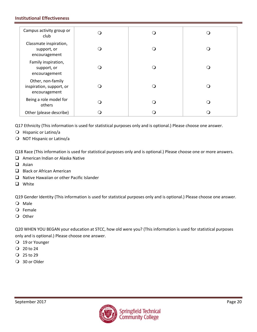| Campus activity group or<br>club                               |  |     |
|----------------------------------------------------------------|--|-----|
| Classmate inspiration,<br>support, or<br>encouragement         |  |     |
| Family inspiration,<br>support, or<br>encouragement            |  |     |
| Other, non-family<br>inspiration, support, or<br>encouragement |  |     |
| Being a role model for<br>others                               |  | . 1 |
| Other (please describe)                                        |  |     |

Q17 Ethnicity (This information is used for statistical purposes only and is optional.) Please choose one answer.

- O Hispanic or Latino/a
- O NOT Hispanic or Latino/a

Q18 Race (This information is used for statistical purposes only and is optional.) Please choose one or more answers.

- $\Box$  American Indian or Alaska Native
- $\Box$  Asian
- Black or African American
- $\Box$  Native Hawaiian or other Pacific Islander
- **Q** White

Q19 Gender Identity (This information is used for statistical purposes only and is optional.) Please choose one answer.

- Male
- Female
- O Other

Q20 WHEN YOU BEGAN your education at STCC, how old were you? (This information is used for statistical purposes only and is optional.) Please choose one answer.

- 19 or Younger
- $Q$  20 to 24
- 25 to 29
- 30 or Older

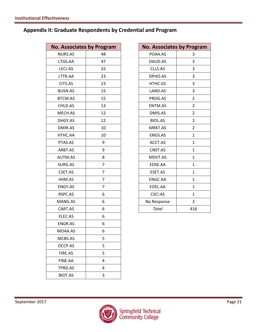## **Appendix II: Graduate Respondents by Credential and Program**

| <b>No. Associates by Program</b> |                | <b>No. Associates by Program</b> |                |
|----------------------------------|----------------|----------------------------------|----------------|
| <b>NURS.AS</b>                   | 48             | POAA.AS                          | 3              |
| LTGS.AA                          | 47             | DAUD.AS                          | 3              |
| LECJ.AS                          | 32             | CLLS.AS                          | 3              |
| LTTR.AA                          | 23             | DPHO.AS                          | 3              |
| CITS.AS                          | 23             | HTHC.GS                          | 3              |
| <b>BUSN.AS</b>                   | 15             | LAND.AS                          | 3              |
| BTCM.AS                          | 15             | PROG.AS                          | $\overline{2}$ |
| CHLD.AS                          | 13             | ENTM.AS                          | $\overline{2}$ |
| MECH.AS                          | 12             | DMIS.AS                          | $\overline{2}$ |
| DHGY.AS                          | 12             | <b>BIOL.AS</b>                   | $\overline{2}$ |
| DMIR.AS                          | 10             | MRKT.AS                          | $\overline{2}$ |
| HTHC.AA                          | 10             | ENGS.AS                          | $\mathbf{1}$   |
| PTAS.AS                          | 9              | ACCT.AS                          | $\mathbf{1}$   |
| ARBT.AS                          | 9              | CNST.AS                          | $\mathbf{1}$   |
| AUTM.AS                          | 8              | MDVT.AS                          | $\mathbf{1}$   |
| SURG.AS                          | $\overline{7}$ | EDSE.AA                          | $\mathbf{1}$   |
| CSET.AS                          | $\overline{7}$ | ESET.AS                          | $\mathbf{1}$   |
| HIIM.AS                          | $\overline{7}$ | ENGC.AA                          | $\mathbf{1}$   |
| ENGY.AS                          | $\overline{7}$ | EDEL.AA                          | $\mathbf{1}$   |
| RSPC.AS                          | 6              | CSCI.AS                          | $\mathbf{1}$   |
| MANG.AS                          | 6              | No Response                      | 3              |
| CART.AS                          | 6              | Total                            | 416            |
| ELEC.AS                          | 6              |                                  |                |
| ENGR.AS                          | 6              |                                  |                |
| MOAA.AS                          | 6              |                                  |                |
| MCBS.AS                          | 5              |                                  |                |
| OCCP.AS                          | 5              |                                  |                |
| FIRE.AS                          | 5              |                                  |                |
| FINE.AA                          | 4              |                                  |                |
| TPRD.AS                          | 4              |                                  |                |
| BIOT.AS                          | 3              |                                  |                |

| <b>No. Associates by Program</b> |                |
|----------------------------------|----------------|
| POAA.AS                          | 3              |
| DAUD.AS                          | 3              |
| CLLS.AS                          | 3              |
| DPHO.AS                          | 3              |
| HTHC.GS                          | 3              |
| LAND.AS                          | 3              |
| PROG.AS                          | $\overline{2}$ |
| <b>ENTM.AS</b>                   | $\overline{2}$ |
| DMIS.AS                          | $\overline{2}$ |
| <b>BIOL.AS</b>                   | 2              |
| MRKT.AS                          | 2              |
| <b>ENGS.AS</b>                   | $\mathbf{1}$   |
| ACCT.AS                          | 1              |
| CNST.AS                          | $\mathbf{1}$   |
| MDVT.AS                          | $\mathbf{1}$   |
| EDSE.AA                          | $\mathbf{1}$   |
| ESET.AS                          | $\mathbf{1}$   |
| ENGC.AA                          | $\mathbf{1}$   |
| EDEL.AA                          | 1              |
| CSCI.AS                          | $\mathbf{1}$   |
| No Response                      | 3              |
| <b>Total</b>                     | 416            |